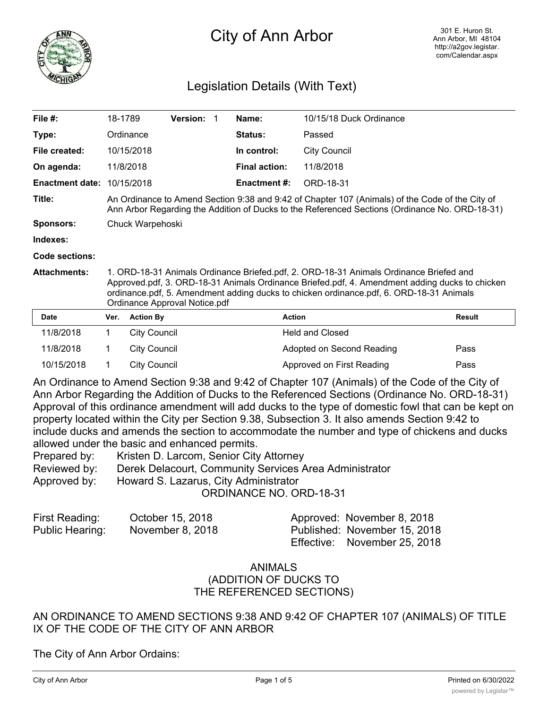

# City of Ann Arbor

## Legislation Details (With Text)

| File $#$ :             | 18-1789                                                                                                                                                                                                                                                                                                              |                     | Version: 1 |  | Name:                | 10/15/18 Duck Ordinance   |               |
|------------------------|----------------------------------------------------------------------------------------------------------------------------------------------------------------------------------------------------------------------------------------------------------------------------------------------------------------------|---------------------|------------|--|----------------------|---------------------------|---------------|
| Type:                  |                                                                                                                                                                                                                                                                                                                      | Ordinance           |            |  | Status:              | Passed                    |               |
| File created:          |                                                                                                                                                                                                                                                                                                                      | 10/15/2018          |            |  | In control:          | <b>City Council</b>       |               |
| On agenda:             |                                                                                                                                                                                                                                                                                                                      | 11/8/2018           |            |  | <b>Final action:</b> | 11/8/2018                 |               |
| <b>Enactment date:</b> |                                                                                                                                                                                                                                                                                                                      | 10/15/2018          |            |  | <b>Enactment #:</b>  | ORD-18-31                 |               |
| Title:                 | An Ordinance to Amend Section 9:38 and 9:42 of Chapter 107 (Animals) of the Code of the City of<br>Ann Arbor Regarding the Addition of Ducks to the Referenced Sections (Ordinance No. ORD-18-31)                                                                                                                    |                     |            |  |                      |                           |               |
| <b>Sponsors:</b>       | Chuck Warpehoski                                                                                                                                                                                                                                                                                                     |                     |            |  |                      |                           |               |
| Indexes:               |                                                                                                                                                                                                                                                                                                                      |                     |            |  |                      |                           |               |
| <b>Code sections:</b>  |                                                                                                                                                                                                                                                                                                                      |                     |            |  |                      |                           |               |
| <b>Attachments:</b>    | 1. ORD-18-31 Animals Ordinance Briefed.pdf, 2. ORD-18-31 Animals Ordinance Briefed and<br>Approved.pdf, 3. ORD-18-31 Animals Ordinance Briefed.pdf, 4. Amendment adding ducks to chicken<br>ordinance.pdf, 5. Amendment adding ducks to chicken ordinance.pdf, 6. ORD-18-31 Animals<br>Ordinance Approval Notice.pdf |                     |            |  |                      |                           |               |
| <b>Date</b>            | Ver.                                                                                                                                                                                                                                                                                                                 | <b>Action By</b>    |            |  |                      | <b>Action</b>             | <b>Result</b> |
| 11/8/2018              | 1                                                                                                                                                                                                                                                                                                                    | <b>City Council</b> |            |  |                      | <b>Held and Closed</b>    |               |
| 11/8/2018              | 1                                                                                                                                                                                                                                                                                                                    | <b>City Council</b> |            |  |                      | Adopted on Second Reading | Pass          |
| 10/15/2018             | 1                                                                                                                                                                                                                                                                                                                    | <b>City Council</b> |            |  |                      | Approved on First Reading | Pass          |

An Ordinance to Amend Section 9:38 and 9:42 of Chapter 107 (Animals) of the Code of the City of Ann Arbor Regarding the Addition of Ducks to the Referenced Sections (Ordinance No. ORD-18-31) Approval of this ordinance amendment will add ducks to the type of domestic fowl that can be kept on property located within the City per Section 9.38, Subsection 3. It also amends Section 9:42 to include ducks and amends the section to accommodate the number and type of chickens and ducks allowed under the basic and enhanced permits.

| Prepared by: | Kristen D. Larcom, Senior City Attorney                |
|--------------|--------------------------------------------------------|
| Reviewed by: | Derek Delacourt, Community Services Area Administrator |
| Approved by: | Howard S. Lazarus, City Administrator                  |
|              | <b>ORDINANCE NO. ORD-18-31</b>                         |

| First Reading:  | October 15, 2018 | Approved: November 8, 2018   |
|-----------------|------------------|------------------------------|
| Public Hearing: | November 8, 2018 | Published: November 15, 2018 |
|                 |                  | Effective: November 25, 2018 |

#### ANIMALS (ADDITION OF DUCKS TO THE REFERENCED SECTIONS)

AN ORDINANCE TO AMEND SECTIONS 9:38 AND 9:42 OF CHAPTER 107 (ANIMALS) OF TITLE IX OF THE CODE OF THE CITY OF ANN ARBOR

The City of Ann Arbor Ordains: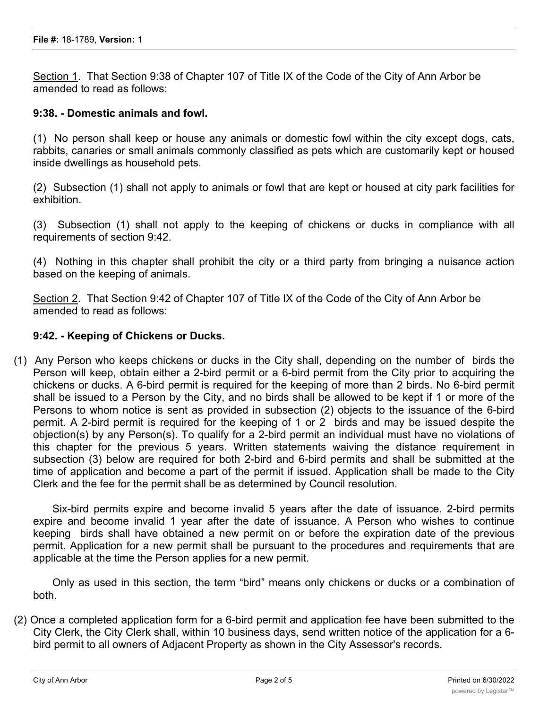Section 1. That Section 9:38 of Chapter 107 of Title IX of the Code of the City of Ann Arbor be amended to read as follows:

#### **9:38. - Domestic animals and fowl.**

(1) No person shall keep or house any animals or domestic fowl within the city except dogs, cats, rabbits, canaries or small animals commonly classified as pets which are customarily kept or housed inside dwellings as household pets.

(2) Subsection (1) shall not apply to animals or fowl that are kept or housed at city park facilities for exhibition.

(3) Subsection (1) shall not apply to the keeping of chickens or ducks in compliance with all requirements of section 9:42.

(4) Nothing in this chapter shall prohibit the city or a third party from bringing a nuisance action based on the keeping of animals.

Section 2. That Section 9:42 of Chapter 107 of Title IX of the Code of the City of Ann Arbor be amended to read as follows:

#### **9:42. - Keeping of Chickens or Ducks.**

(1) Any Person who keeps chickens or ducks in the City shall, depending on the number of birds the Person will keep, obtain either a 2-bird permit or a 6-bird permit from the City prior to acquiring the chickens or ducks. A 6-bird permit is required for the keeping of more than 2 birds. No 6-bird permit shall be issued to a Person by the City, and no birds shall be allowed to be kept if 1 or more of the Persons to whom notice is sent as provided in subsection (2) objects to the issuance of the 6-bird permit. A 2-bird permit is required for the keeping of 1 or 2 birds and may be issued despite the objection(s) by any Person(s). To qualify for a 2-bird permit an individual must have no violations of this chapter for the previous 5 years. Written statements waiving the distance requirement in subsection (3) below are required for both 2-bird and 6-bird permits and shall be submitted at the time of application and become a part of the permit if issued. Application shall be made to the City Clerk and the fee for the permit shall be as determined by Council resolution.

Six-bird permits expire and become invalid 5 years after the date of issuance. 2-bird permits expire and become invalid 1 year after the date of issuance. A Person who wishes to continue keeping birds shall have obtained a new permit on or before the expiration date of the previous permit. Application for a new permit shall be pursuant to the procedures and requirements that are applicable at the time the Person applies for a new permit.

Only as used in this section, the term "bird" means only chickens or ducks or a combination of both.

(2) Once a completed application form for a 6-bird permit and application fee have been submitted to the City Clerk, the City Clerk shall, within 10 business days, send written notice of the application for a 6 bird permit to all owners of Adjacent Property as shown in the City Assessor's records.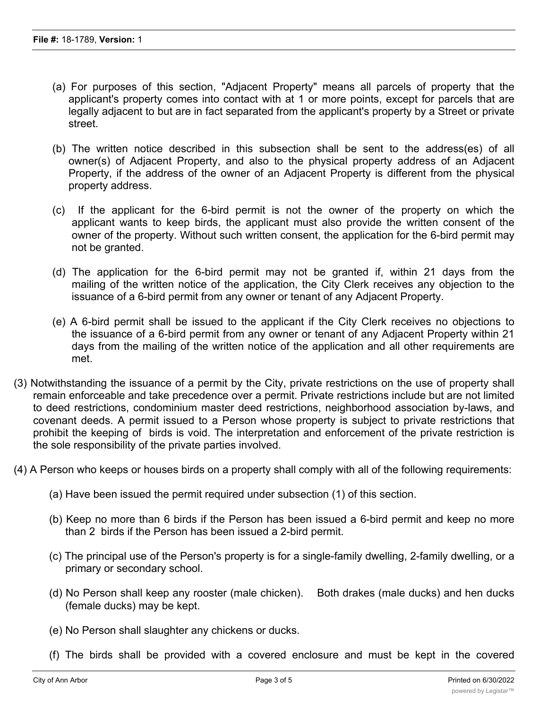- (a) For purposes of this section, "Adjacent Property" means all parcels of property that the applicant's property comes into contact with at 1 or more points, except for parcels that are legally adjacent to but are in fact separated from the applicant's property by a Street or private street.
- (b) The written notice described in this subsection shall be sent to the address(es) of all owner(s) of Adjacent Property, and also to the physical property address of an Adjacent Property, if the address of the owner of an Adjacent Property is different from the physical property address.
- (c) If the applicant for the 6-bird permit is not the owner of the property on which the applicant wants to keep birds, the applicant must also provide the written consent of the owner of the property. Without such written consent, the application for the 6-bird permit may not be granted.
- (d) The application for the 6-bird permit may not be granted if, within 21 days from the mailing of the written notice of the application, the City Clerk receives any objection to the issuance of a 6-bird permit from any owner or tenant of any Adjacent Property.
- (e) A 6-bird permit shall be issued to the applicant if the City Clerk receives no objections to the issuance of a 6-bird permit from any owner or tenant of any Adjacent Property within 21 days from the mailing of the written notice of the application and all other requirements are met.
- (3) Notwithstanding the issuance of a permit by the City, private restrictions on the use of property shall remain enforceable and take precedence over a permit. Private restrictions include but are not limited to deed restrictions, condominium master deed restrictions, neighborhood association by-laws, and covenant deeds. A permit issued to a Person whose property is subject to private restrictions that prohibit the keeping of birds is void. The interpretation and enforcement of the private restriction is the sole responsibility of the private parties involved.
- (4) A Person who keeps or houses birds on a property shall comply with all of the following requirements:
	- (a) Have been issued the permit required under subsection (1) of this section.
	- (b) Keep no more than 6 birds if the Person has been issued a 6-bird permit and keep no more than 2 birds if the Person has been issued a 2-bird permit.
	- (c) The principal use of the Person's property is for a single-family dwelling, 2-family dwelling, or a primary or secondary school.
	- (d) No Person shall keep any rooster (male chicken). Both drakes (male ducks) and hen ducks (female ducks) may be kept.
	- (e) No Person shall slaughter any chickens or ducks.
	- (f) The birds shall be provided with a covered enclosure and must be kept in the covered

enclosure or a fenced enclosure at all times. Fenced enclosures are subject to all provisions of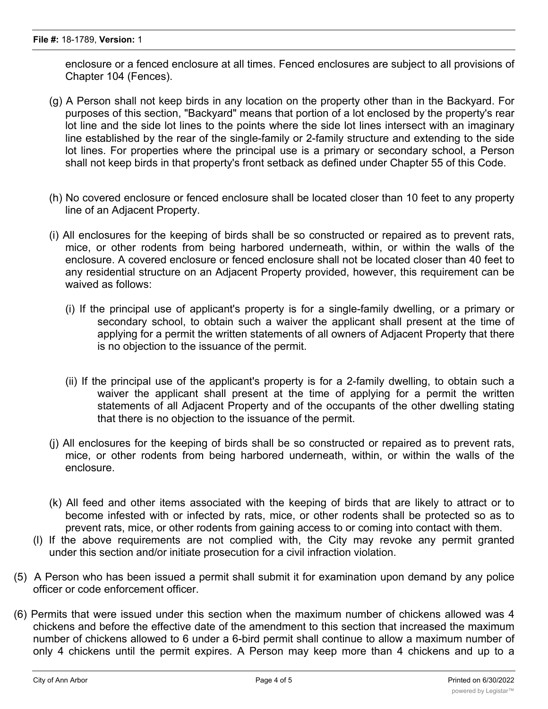enclosure or a fenced enclosure at all times. Fenced enclosures are subject to all provisions of Chapter 104 (Fences).

- (g) A Person shall not keep birds in any location on the property other than in the Backyard. For purposes of this section, "Backyard" means that portion of a lot enclosed by the property's rear lot line and the side lot lines to the points where the side lot lines intersect with an imaginary line established by the rear of the single-family or 2-family structure and extending to the side lot lines. For properties where the principal use is a primary or secondary school, a Person shall not keep birds in that property's front setback as defined under Chapter 55 of this Code.
- (h) No covered enclosure or fenced enclosure shall be located closer than 10 feet to any property line of an Adjacent Property.
- (i) All enclosures for the keeping of birds shall be so constructed or repaired as to prevent rats, mice, or other rodents from being harbored underneath, within, or within the walls of the enclosure. A covered enclosure or fenced enclosure shall not be located closer than 40 feet to any residential structure on an Adjacent Property provided, however, this requirement can be waived as follows:
	- (i) If the principal use of applicant's property is for a single-family dwelling, or a primary or secondary school, to obtain such a waiver the applicant shall present at the time of applying for a permit the written statements of all owners of Adjacent Property that there is no objection to the issuance of the permit.
	- (ii) If the principal use of the applicant's property is for a 2-family dwelling, to obtain such a waiver the applicant shall present at the time of applying for a permit the written statements of all Adjacent Property and of the occupants of the other dwelling stating that there is no objection to the issuance of the permit.
- (j) All enclosures for the keeping of birds shall be so constructed or repaired as to prevent rats, mice, or other rodents from being harbored underneath, within, or within the walls of the enclosure.
- (k) All feed and other items associated with the keeping of birds that are likely to attract or to become infested with or infected by rats, mice, or other rodents shall be protected so as to prevent rats, mice, or other rodents from gaining access to or coming into contact with them.
- (l) If the above requirements are not complied with, the City may revoke any permit granted under this section and/or initiate prosecution for a civil infraction violation.
- (5) A Person who has been issued a permit shall submit it for examination upon demand by any police officer or code enforcement officer.
- (6) Permits that were issued under this section when the maximum number of chickens allowed was 4 chickens and before the effective date of the amendment to this section that increased the maximum number of chickens allowed to 6 under a 6-bird permit shall continue to allow a maximum number of only 4 chickens until the permit expires. A Person may keep more than 4 chickens and up to a